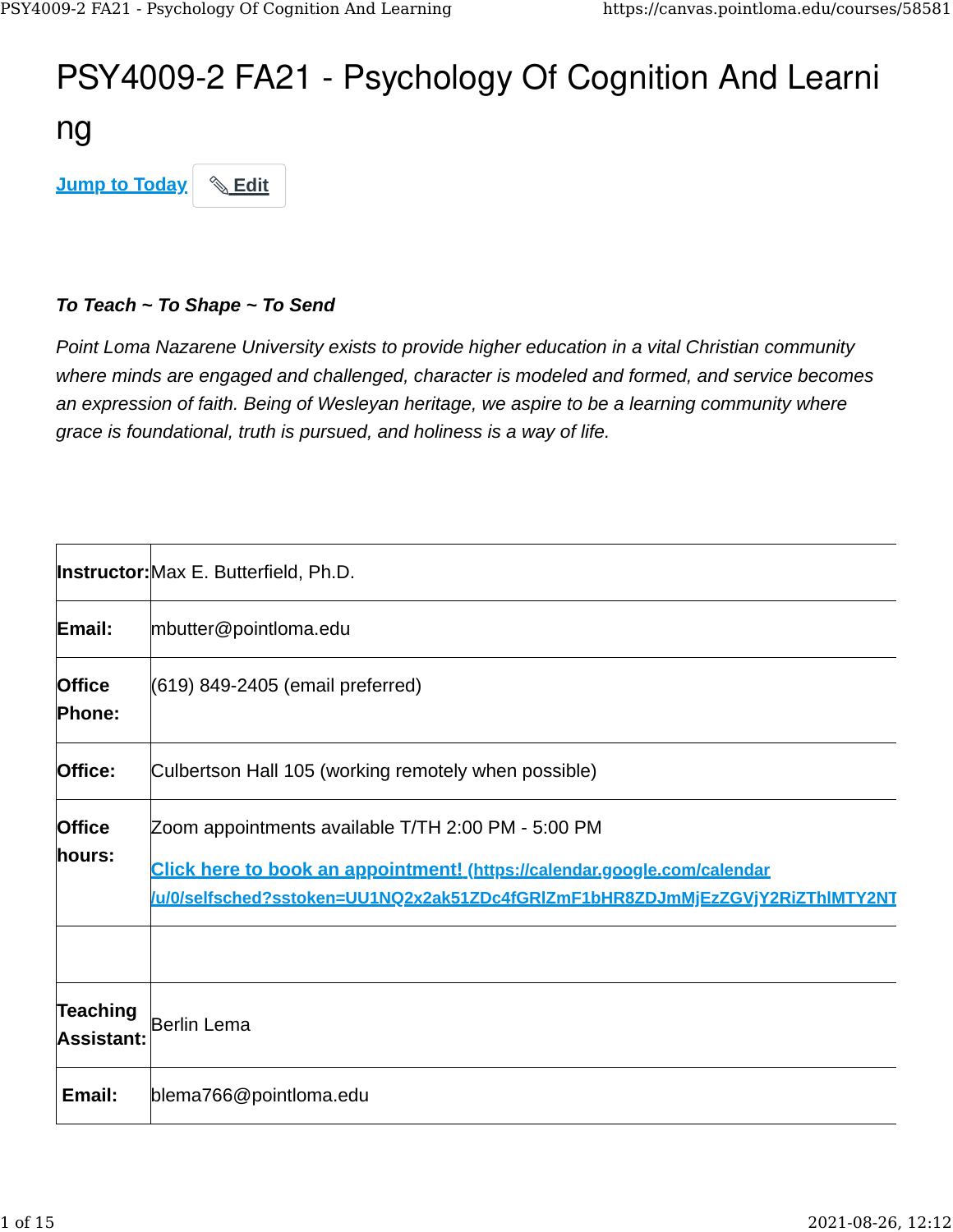# PSY4009-2 FA21 - Psychology Of Cognition And Learni

ng

**[Jump to Today](https://canvas.pointloma.edu/courses/58581#)** & [Edit](https://canvas.pointloma.edu/courses/58581#)

#### *To Teach ~ To Shape ~ To Send*

*Point Loma Nazarene University exists to provide higher education in a vital Christian community where minds are engaged and challenged, character is modeled and formed, and service becomes an expression of faith. Being of Wesleyan heritage, we aspire to be a learning community where grace is foundational, truth is pursued, and holiness is a way of life.*

|                                      | <b>Instructor:</b> Max E. Butterfield, Ph.D.                                                                                                                                                                    |
|--------------------------------------|-----------------------------------------------------------------------------------------------------------------------------------------------------------------------------------------------------------------|
| Email:                               | mbutter@pointloma.edu                                                                                                                                                                                           |
| <b>Office</b><br>Phone:              | (619) 849-2405 (email preferred)                                                                                                                                                                                |
| Office:                              | Culbertson Hall 105 (working remotely when possible)                                                                                                                                                            |
| <b>Office</b><br>hours:              | Zoom appointments available T/TH 2:00 PM - 5:00 PM<br>Click here to book an appointment! (https://calendar.google.com/calendar<br>/u/0/selfsched?sstoken=UU1NQ2x2ak51ZDc4fGRlZmF1bHR8ZDJmMjEzZGVjY2RiZThIMTY2NT |
| <b>Teaching</b><br><b>Assistant:</b> | Berlin Lema                                                                                                                                                                                                     |
| Email:                               | blema766@pointloma.edu                                                                                                                                                                                          |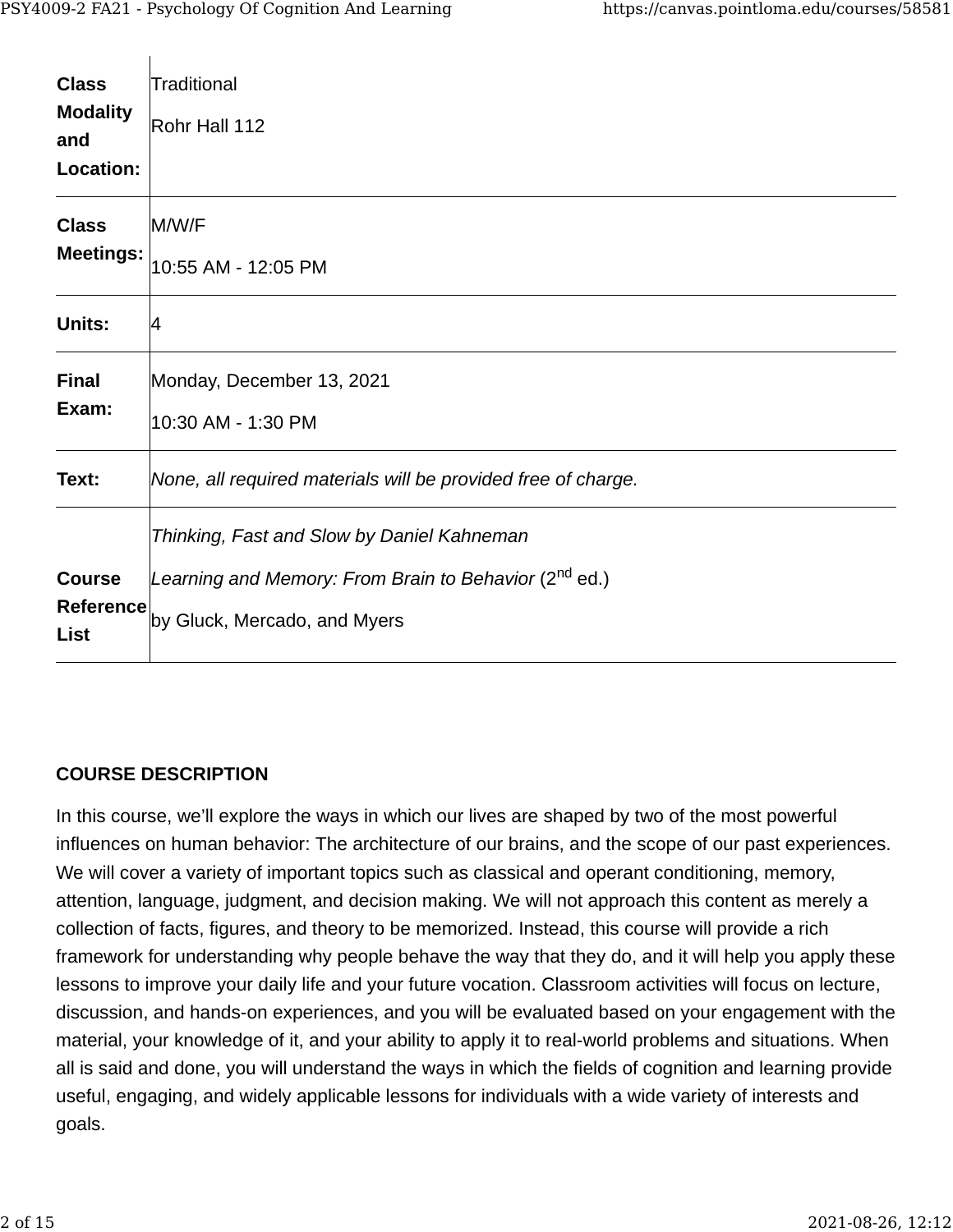$\mathbf{I}$ 

| <b>Class</b><br><b>Modality</b><br>and | Traditional<br>Rohr Hall 112                                      |
|----------------------------------------|-------------------------------------------------------------------|
| Location:                              |                                                                   |
| <b>Class</b>                           | M/W/F                                                             |
| <b>Meetings:</b>                       | 10:55 AM - 12:05 PM                                               |
| Units:                                 | 4                                                                 |
| <b>Final</b>                           | Monday, December 13, 2021                                         |
| Exam:                                  | 10:30 AM - 1:30 PM                                                |
| Text:                                  | None, all required materials will be provided free of charge.     |
|                                        | Thinking, Fast and Slow by Daniel Kahneman                        |
| <b>Course</b>                          | Learning and Memory: From Brain to Behavior (2 <sup>nd</sup> ed.) |
| Reference<br><b>List</b>               | by Gluck, Mercado, and Myers                                      |

#### **COURSE DESCRIPTION**

In this course, we'll explore the ways in which our lives are shaped by two of the most powerful influences on human behavior: The architecture of our brains, and the scope of our past experiences. We will cover a variety of important topics such as classical and operant conditioning, memory, attention, language, judgment, and decision making. We will not approach this content as merely a collection of facts, figures, and theory to be memorized. Instead, this course will provide a rich framework for understanding why people behave the way that they do, and it will help you apply these lessons to improve your daily life and your future vocation. Classroom activities will focus on lecture, discussion, and hands-on experiences, and you will be evaluated based on your engagement with the material, your knowledge of it, and your ability to apply it to real-world problems and situations. When all is said and done, you will understand the ways in which the fields of cognition and learning provide useful, engaging, and widely applicable lessons for individuals with a wide variety of interests and goals.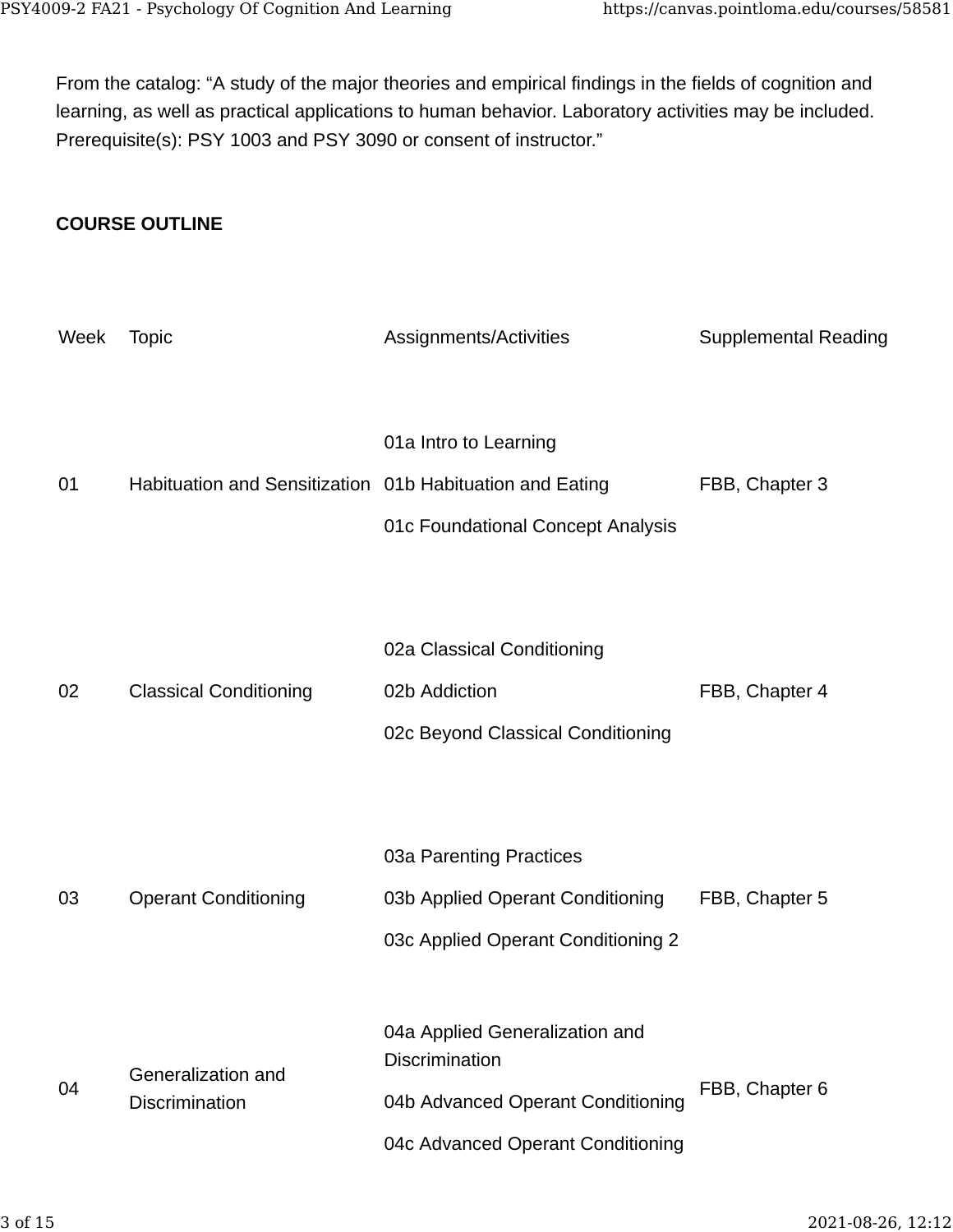From the catalog: "A study of the major theories and empirical findings in the fields of cognition and learning, as well as practical applications to human behavior. Laboratory activities may be included. Prerequisite(s): PSY 1003 and PSY 3090 or consent of instructor."

#### **COURSE OUTLINE**

| Week | <b>Topic</b>                                             | Assignments/Activities                                                                                                            | <b>Supplemental Reading</b> |
|------|----------------------------------------------------------|-----------------------------------------------------------------------------------------------------------------------------------|-----------------------------|
| 01   | Habituation and Sensitization 01b Habituation and Eating | 01a Intro to Learning<br>01c Foundational Concept Analysis                                                                        | FBB, Chapter 3              |
| 02   | <b>Classical Conditioning</b>                            | 02a Classical Conditioning<br>02b Addiction<br>02c Beyond Classical Conditioning                                                  | FBB, Chapter 4              |
| 03   | <b>Operant Conditioning</b>                              | 03a Parenting Practices<br>03b Applied Operant Conditioning<br>03c Applied Operant Conditioning 2                                 | FBB, Chapter 5              |
| 04   | Generalization and<br><b>Discrimination</b>              | 04a Applied Generalization and<br><b>Discrimination</b><br>04b Advanced Operant Conditioning<br>04c Advanced Operant Conditioning | FBB, Chapter 6              |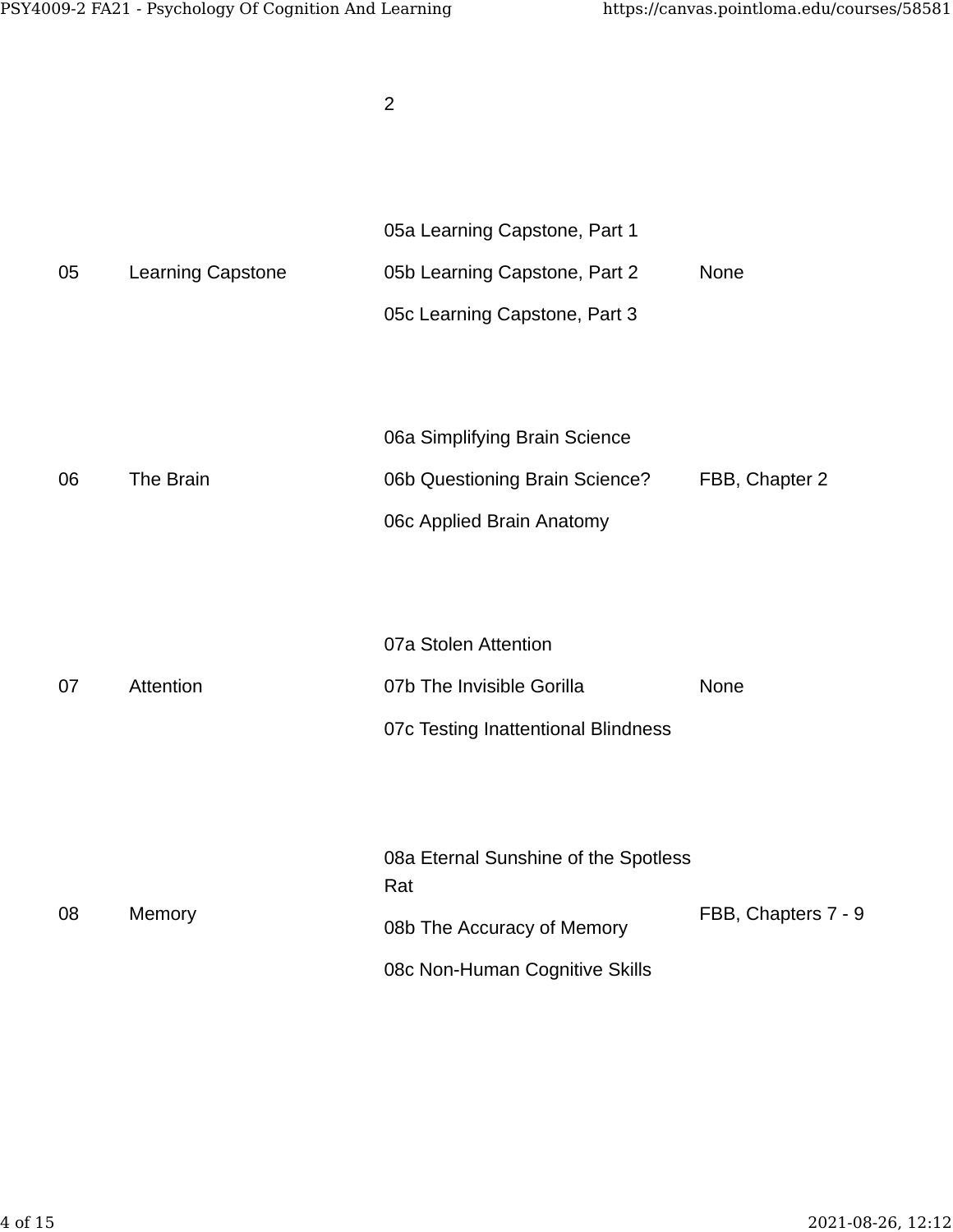|    |                   | $\overline{2}$                                                                                              |                     |
|----|-------------------|-------------------------------------------------------------------------------------------------------------|---------------------|
| 05 | Learning Capstone | 05a Learning Capstone, Part 1<br>05b Learning Capstone, Part 2<br>05c Learning Capstone, Part 3             | None                |
| 06 | The Brain         | 06a Simplifying Brain Science<br>06b Questioning Brain Science?<br>06c Applied Brain Anatomy                | FBB, Chapter 2      |
| 07 | Attention         | 07a Stolen Attention<br>07b The Invisible Gorilla<br>07c Testing Inattentional Blindness                    | None                |
| 08 | Memory            | 08a Eternal Sunshine of the Spotless<br>Rat<br>08b The Accuracy of Memory<br>08c Non-Human Cognitive Skills | FBB, Chapters 7 - 9 |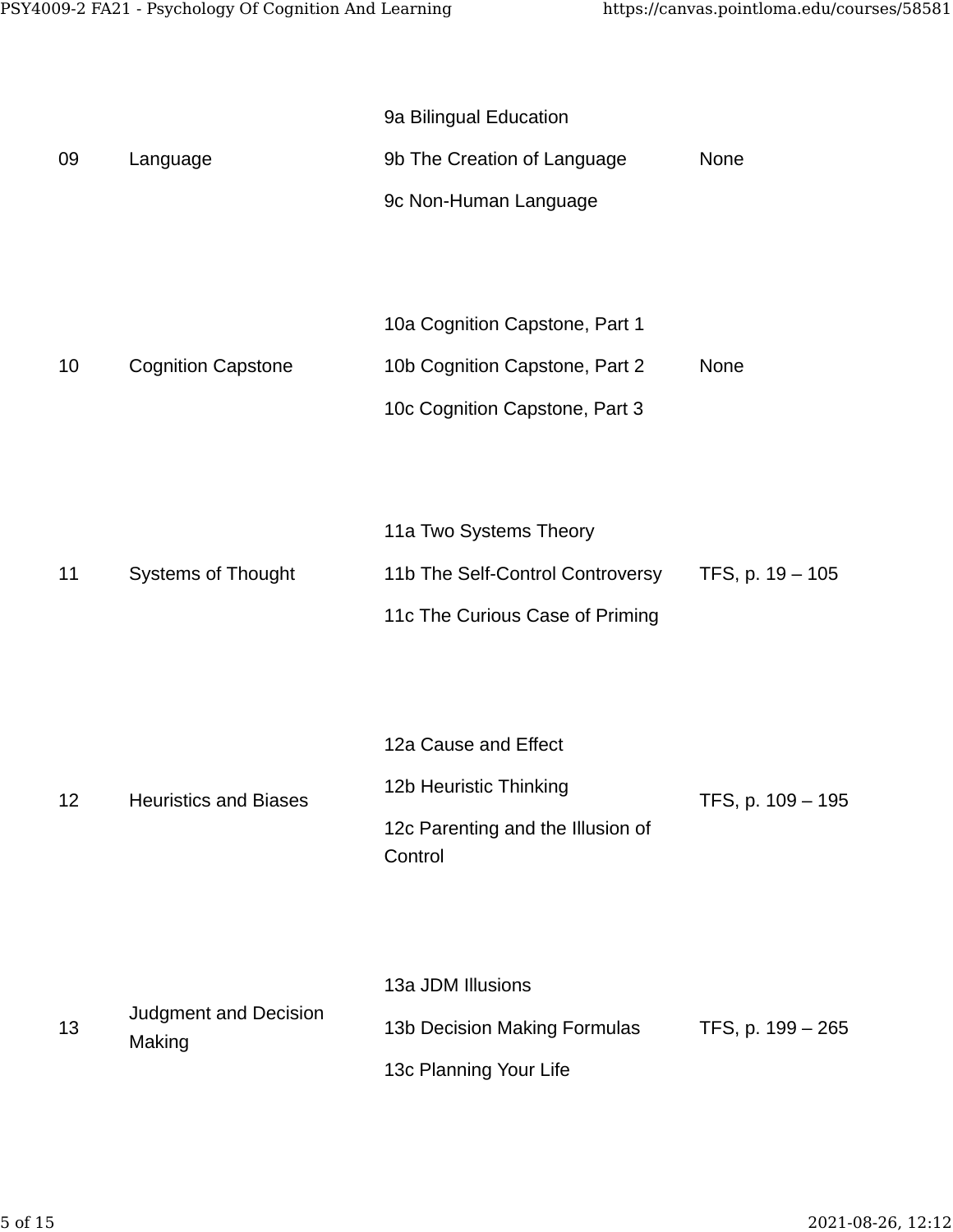| 09 | Language                        | 9a Bilingual Education<br>9b The Creation of Language<br>9c Non-Human Language                     | None              |
|----|---------------------------------|----------------------------------------------------------------------------------------------------|-------------------|
| 10 | <b>Cognition Capstone</b>       | 10a Cognition Capstone, Part 1<br>10b Cognition Capstone, Part 2<br>10c Cognition Capstone, Part 3 | None              |
| 11 | <b>Systems of Thought</b>       | 11a Two Systems Theory<br>11b The Self-Control Controversy<br>11c The Curious Case of Priming      | TFS, p. 19 - 105  |
| 12 | <b>Heuristics and Biases</b>    | 12a Cause and Effect<br>12b Heuristic Thinking<br>12c Parenting and the Illusion of<br>Control     | TFS, p. 109 - 195 |
| 13 | Judgment and Decision<br>Making | 13a JDM Illusions<br>13b Decision Making Formulas<br>13c Planning Your Life                        | TFS, p. 199 - 265 |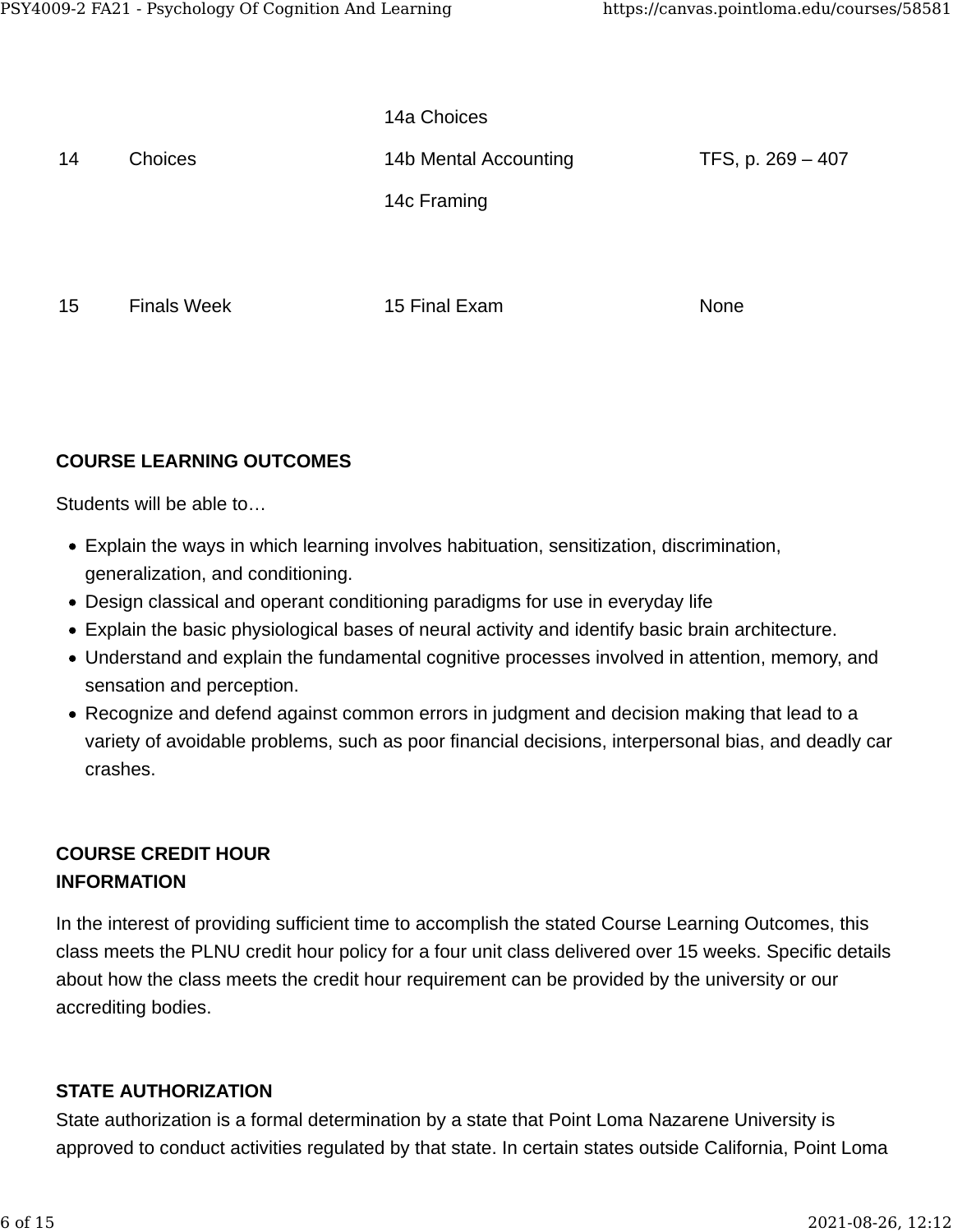|    |                    | 14a Choices           |                   |
|----|--------------------|-----------------------|-------------------|
| 14 | Choices            | 14b Mental Accounting | TFS, p. 269 - 407 |
|    |                    | 14c Framing           |                   |
|    |                    |                       |                   |
| 15 | <b>Finals Week</b> | 15 Final Exam         | None              |

## **COURSE LEARNING OUTCOMES**

Students will be able to…

- Explain the ways in which learning involves habituation, sensitization, discrimination, generalization, and conditioning.
- Design classical and operant conditioning paradigms for use in everyday life
- Explain the basic physiological bases of neural activity and identify basic brain architecture.
- Understand and explain the fundamental cognitive processes involved in attention, memory, and sensation and perception.
- Recognize and defend against common errors in judgment and decision making that lead to a variety of avoidable problems, such as poor financial decisions, interpersonal bias, and deadly car crashes.

## **COURSE CREDIT HOUR INFORMATION**

In the interest of providing sufficient time to accomplish the stated Course Learning Outcomes, this class meets the PLNU credit hour policy for a four unit class delivered over 15 weeks. Specific details about how the class meets the credit hour requirement can be provided by the university or our accrediting bodies.

## **STATE AUTHORIZATION**

State authorization is a formal determination by a state that Point Loma Nazarene University is approved to conduct activities regulated by that state. In certain states outside California, Point Loma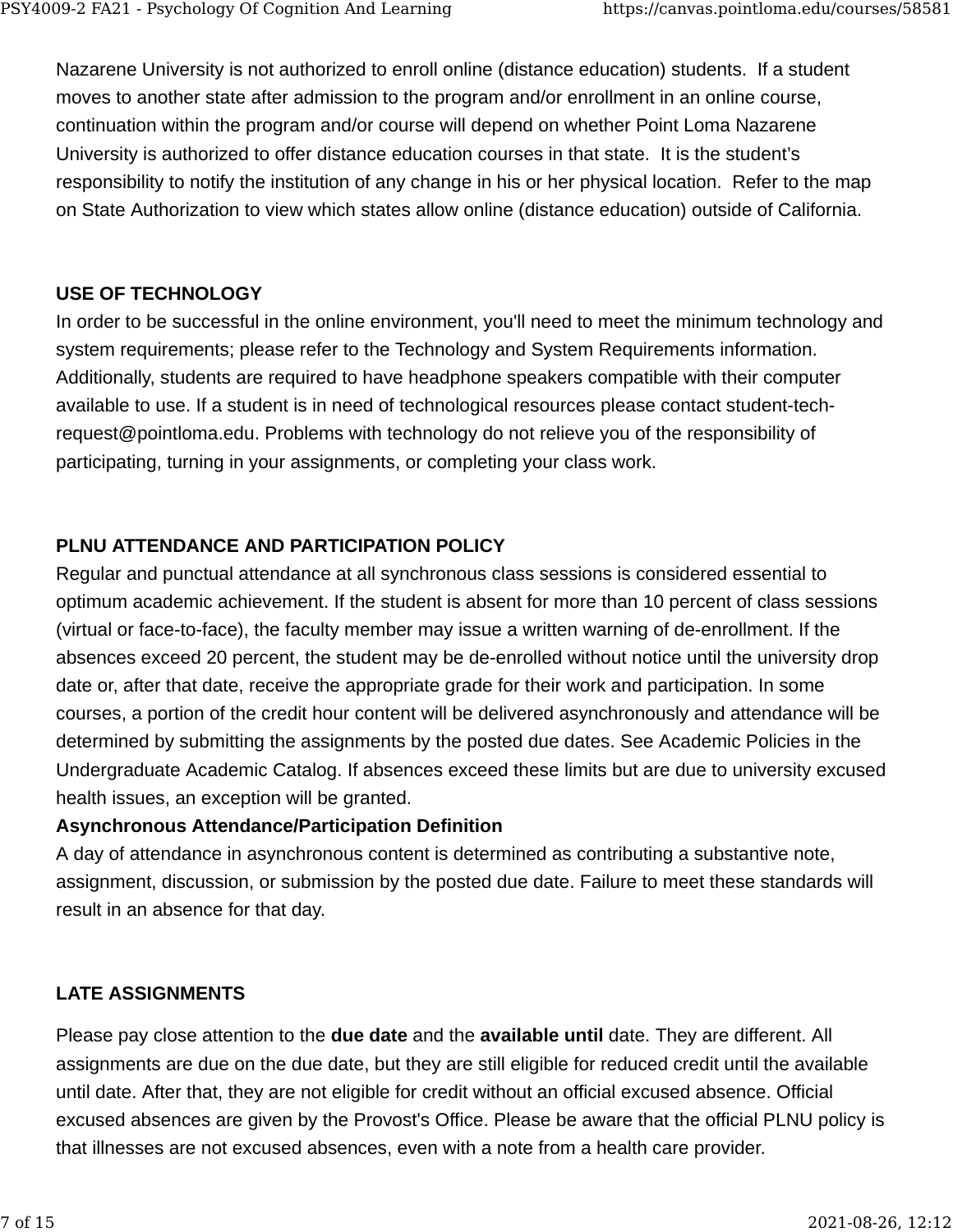Nazarene University is not authorized to enroll online (distance education) students. If a student moves to another state after admission to the program and/or enrollment in an online course, continuation within the program and/or course will depend on whether Point Loma Nazarene University is authorized to offer distance education courses in that state. It is the student's responsibility to notify the institution of any change in his or her physical location. Refer to the map on State Authorization to view which states allow online (distance education) outside of California.

#### **USE OF TECHNOLOGY**

In order to be successful in the online environment, you'll need to meet the minimum technology and system requirements; please refer to the Technology and System Requirements information. Additionally, students are required to have headphone speakers compatible with their computer available to use. If a student is in need of technological resources please contact student-techrequest@pointloma.edu. Problems with technology do not relieve you of the responsibility of participating, turning in your assignments, or completing your class work.

## **PLNU ATTENDANCE AND PARTICIPATION POLICY**

Regular and punctual attendance at all synchronous class sessions is considered essential to optimum academic achievement. If the student is absent for more than 10 percent of class sessions (virtual or face-to-face), the faculty member may issue a written warning of de-enrollment. If the absences exceed 20 percent, the student may be de-enrolled without notice until the university drop date or, after that date, receive the appropriate grade for their work and participation. In some courses, a portion of the credit hour content will be delivered asynchronously and attendance will be determined by submitting the assignments by the posted due dates. See Academic Policies in the Undergraduate Academic Catalog. If absences exceed these limits but are due to university excused health issues, an exception will be granted.

#### **Asynchronous Attendance/Participation Definition**

A day of attendance in asynchronous content is determined as contributing a substantive note, assignment, discussion, or submission by the posted due date. Failure to meet these standards will result in an absence for that day.

## **LATE ASSIGNMENTS**

Please pay close attention to the **due date** and the **available until** date. They are different. All assignments are due on the due date, but they are still eligible for reduced credit until the available until date. After that, they are not eligible for credit without an official excused absence. Official excused absences are given by the Provost's Office. Please be aware that the official PLNU policy is that illnesses are not excused absences, even with a note from a health care provider.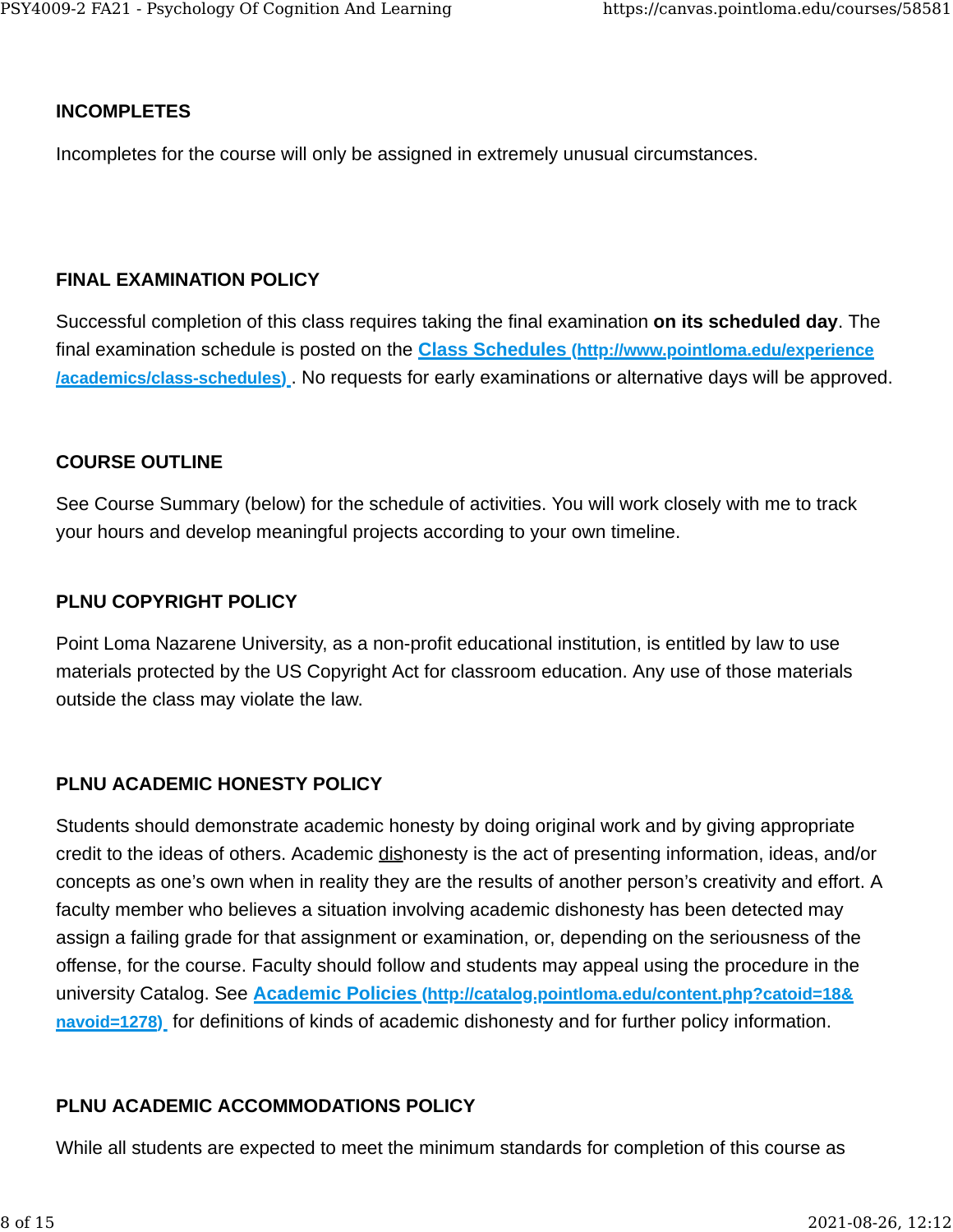#### **INCOMPLETES**

Incompletes for the course will only be assigned in extremely unusual circumstances.

#### **FINAL EXAMINATION POLICY**

Successful completion of this class requires taking the final examination **on its scheduled day**. The final examination schedule is posted on the **[Class Schedules \(http://www.pointloma.edu/experience](http://www.pointloma.edu/experience/academics/class-schedules) [/academics/class-schedules\)](http://www.pointloma.edu/experience/academics/class-schedules)** . No requests for early examinations or alternative days will be approved.

#### **COURSE OUTLINE**

See Course Summary (below) for the schedule of activities. You will work closely with me to track your hours and develop meaningful projects according to your own timeline.

#### **PLNU COPYRIGHT POLICY**

Point Loma Nazarene University, as a non-profit educational institution, is entitled by law to use materials protected by the US Copyright Act for classroom education. Any use of those materials outside the class may violate the law.

## **PLNU ACADEMIC HONESTY POLICY**

Students should demonstrate academic honesty by doing original work and by giving appropriate credit to the ideas of others. Academic dishonesty is the act of presenting information, ideas, and/or concepts as one's own when in reality they are the results of another person's creativity and effort. A faculty member who believes a situation involving academic dishonesty has been detected may assign a failing grade for that assignment or examination, or, depending on the seriousness of the offense, for the course. Faculty should follow and students may appeal using the procedure in the university Catalog. See **[Academic Policies \(http://catalog.pointloma.edu/content.php?catoid=18&](http://catalog.pointloma.edu/content.php?catoid=18&navoid=1278) [navoid=1278\)](http://catalog.pointloma.edu/content.php?catoid=18&navoid=1278)** for definitions of kinds of academic dishonesty and for further policy information.

## **PLNU ACADEMIC ACCOMMODATIONS POLICY**

While all students are expected to meet the minimum standards for completion of this course as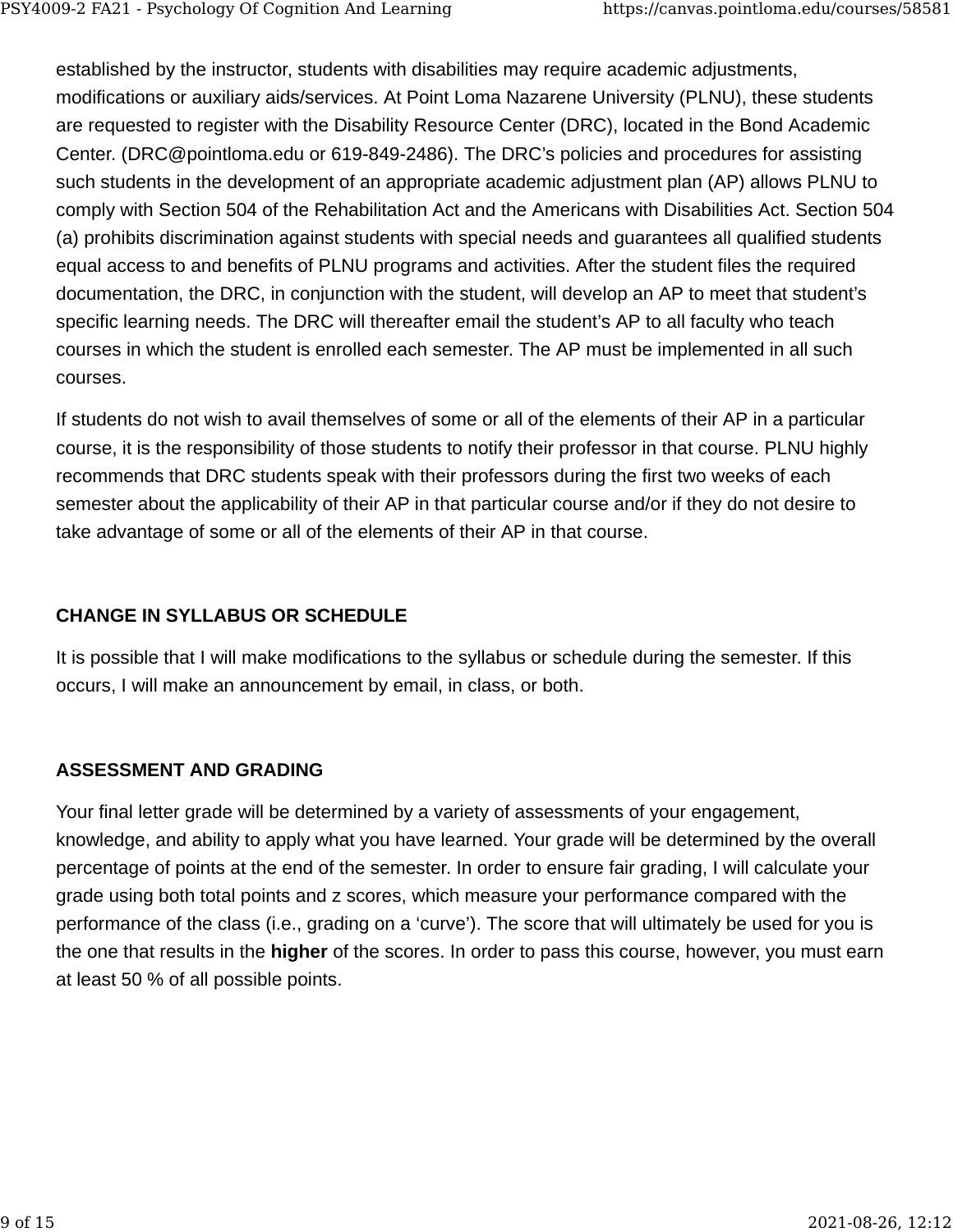established by the instructor, students with disabilities may require academic adjustments, modifications or auxiliary aids/services. At Point Loma Nazarene University (PLNU), these students are requested to register with the Disability Resource Center (DRC), located in the Bond Academic Center. (DRC@pointloma.edu or 619-849-2486). The DRC's policies and procedures for assisting such students in the development of an appropriate academic adjustment plan (AP) allows PLNU to comply with Section 504 of the Rehabilitation Act and the Americans with Disabilities Act. Section 504 (a) prohibits discrimination against students with special needs and guarantees all qualified students equal access to and benefits of PLNU programs and activities. After the student files the required documentation, the DRC, in conjunction with the student, will develop an AP to meet that student's specific learning needs. The DRC will thereafter email the student's AP to all faculty who teach courses in which the student is enrolled each semester. The AP must be implemented in all such courses.

If students do not wish to avail themselves of some or all of the elements of their AP in a particular course, it is the responsibility of those students to notify their professor in that course. PLNU highly recommends that DRC students speak with their professors during the first two weeks of each semester about the applicability of their AP in that particular course and/or if they do not desire to take advantage of some or all of the elements of their AP in that course.

## **CHANGE IN SYLLABUS OR SCHEDULE**

It is possible that I will make modifications to the syllabus or schedule during the semester. If this occurs, I will make an announcement by email, in class, or both.

## **ASSESSMENT AND GRADING**

Your final letter grade will be determined by a variety of assessments of your engagement, knowledge, and ability to apply what you have learned. Your grade will be determined by the overall percentage of points at the end of the semester. In order to ensure fair grading, I will calculate your grade using both total points and z scores, which measure your performance compared with the performance of the class (i.e., grading on a 'curve'). The score that will ultimately be used for you is the one that results in the **higher** of the scores. In order to pass this course, however, you must earn at least 50 % of all possible points.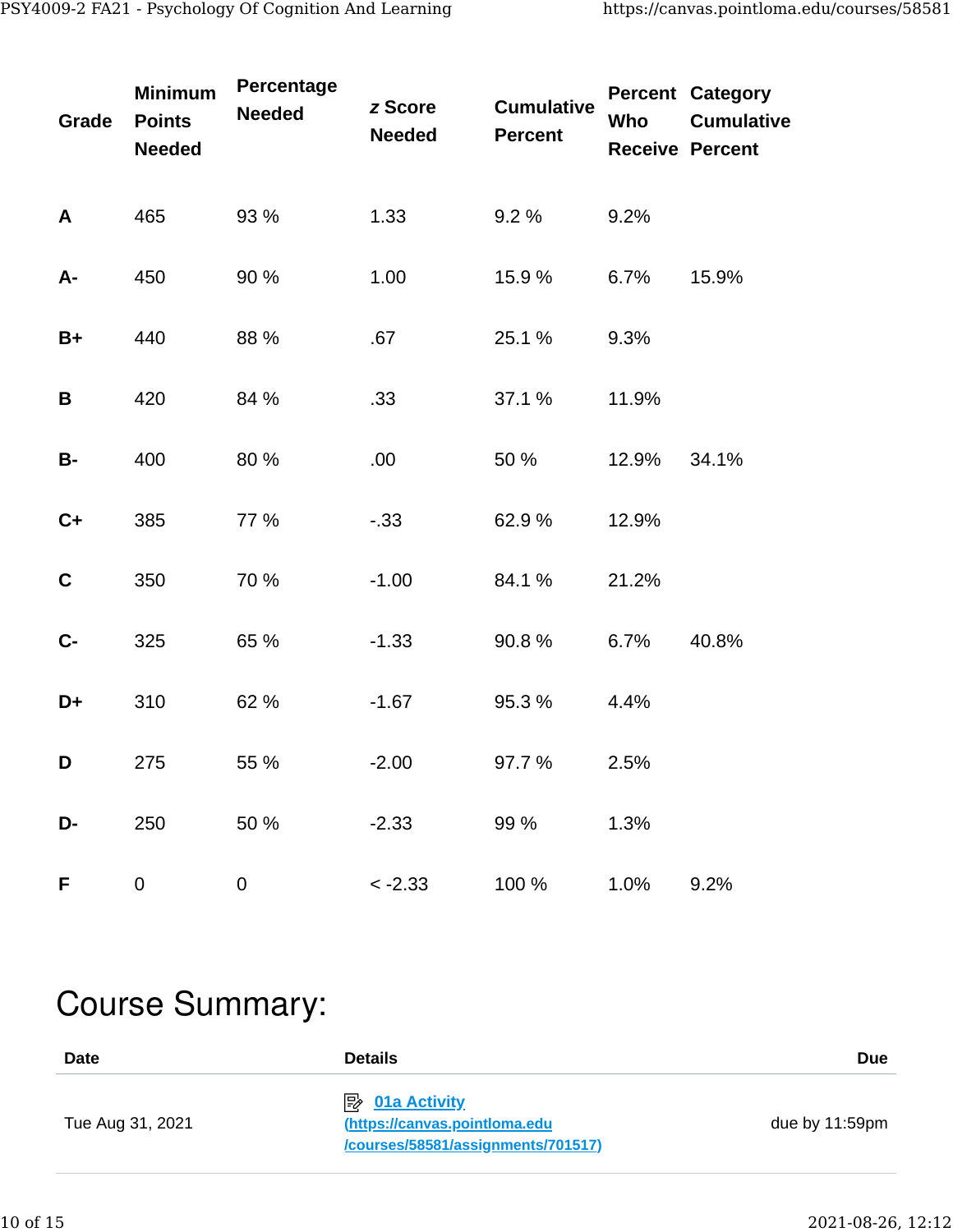| Grade       | Minimum<br><b>Points</b><br><b>Needed</b> | Percentage<br><b>Needed</b> | z Score<br><b>Needed</b> | <b>Cumulative</b><br><b>Percent</b> | Who   | <b>Percent Category</b><br><b>Cumulative</b><br><b>Receive Percent</b> |
|-------------|-------------------------------------------|-----------------------------|--------------------------|-------------------------------------|-------|------------------------------------------------------------------------|
| A           | 465                                       | 93 %                        | 1.33                     | 9.2 %                               | 9.2%  |                                                                        |
| A-          | 450                                       | 90 %                        | 1.00                     | 15.9 %                              | 6.7%  | 15.9%                                                                  |
| $B+$        | 440                                       | 88 %                        | .67                      | 25.1 %                              | 9.3%  |                                                                        |
| B           | 420                                       | 84 %                        | .33                      | 37.1 %                              | 11.9% |                                                                        |
| <b>B-</b>   | 400                                       | 80 %                        | .00                      | 50 %                                | 12.9% | 34.1%                                                                  |
| $C+$        | 385                                       | 77 %                        | $-.33$                   | 62.9%                               | 12.9% |                                                                        |
| $\mathbf C$ | 350                                       | 70 %                        | $-1.00$                  | 84.1 %                              | 21.2% |                                                                        |
| $C -$       | 325                                       | 65 %                        | $-1.33$                  | 90.8 %                              | 6.7%  | 40.8%                                                                  |
| D+          | 310                                       | 62 %                        | $-1.67$                  | 95.3 %                              | 4.4%  |                                                                        |
| D           | 275                                       | 55 %                        | $-2.00$                  | 97.7 %                              | 2.5%  |                                                                        |
| D-          | 250                                       | 50 %                        | $-2.33$                  | 99 %                                | 1.3%  |                                                                        |
| F           | 0                                         | 0                           | $< -2.33$                | 100 %                               | 1.0%  | 9.2%                                                                   |

# Course Summary:

| Date             | <b>Details</b>                                                                                   | <b>Due</b>        |
|------------------|--------------------------------------------------------------------------------------------------|-------------------|
| Tue Aug 31, 2021 | $\mathbb{R}$ 01a Activity<br>(https://canvas.pointloma.edu<br>/courses/58581/assignments/701517) | due by $11:59$ pm |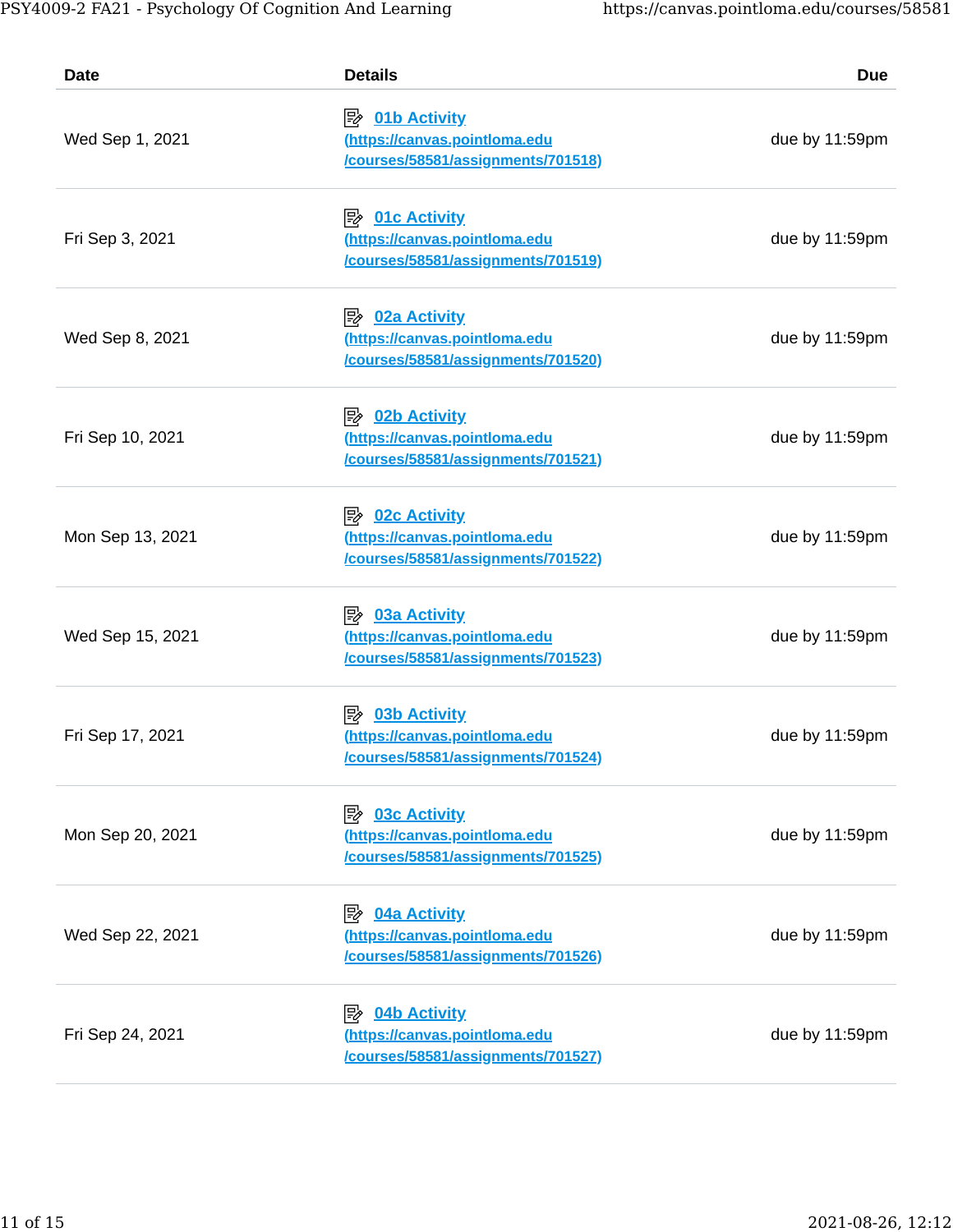| <b>Date</b>      | <b>Details</b>                                                                                             | <b>Due</b>     |
|------------------|------------------------------------------------------------------------------------------------------------|----------------|
| Wed Sep 1, 2021  | <i><b>E</b></i> 01b Activity<br>(https://canvas.pointloma.edu<br>/courses/58581/assignments/701518)        | due by 11:59pm |
| Fri Sep 3, 2021  | <b>B</b> 01c Activity<br>(https://canvas.pointloma.edu<br>/courses/58581/assignments/701519)               | due by 11:59pm |
| Wed Sep 8, 2021  | 吟<br><b>02a Activity</b><br>(https://canvas.pointloma.edu<br>/courses/58581/assignments/701520)            | due by 11:59pm |
| Fri Sep 10, 2021 | $\mathbb{R}$ 02b Activity<br>(https://canvas.pointloma.edu<br>/courses/58581/assignments/701521)           | due by 11:59pm |
| Mon Sep 13, 2021 | <i><b>B</b></i> <u>02c Activity</u><br>(https://canvas.pointloma.edu<br>/courses/58581/assignments/701522) | due by 11:59pm |
| Wed Sep 15, 2021 | 吟<br><b>03a Activity</b><br>(https://canvas.pointloma.edu<br>/courses/58581/assignments/701523)            | due by 11:59pm |
| Fri Sep 17, 2021 | 勖<br><b>03b Activity</b><br>(https://canvas.pointloma.edu<br><u>/courses/58581/assignments/701524)</u>     | due by 11:59pm |
| Mon Sep 20, 2021 | <b>03c Activity</b><br>吟<br>(https://canvas.pointloma.edu<br>/courses/58581/assignments/701525)            | due by 11:59pm |
| Wed Sep 22, 2021 | 吟<br><b>04a Activity</b><br>(https://canvas.pointloma.edu<br>/courses/58581/assignments/701526)            | due by 11:59pm |
| Fri Sep 24, 2021 | 04b Activity<br>吟<br>(https://canvas.pointloma.edu<br>/courses/58581/assignments/701527)                   | due by 11:59pm |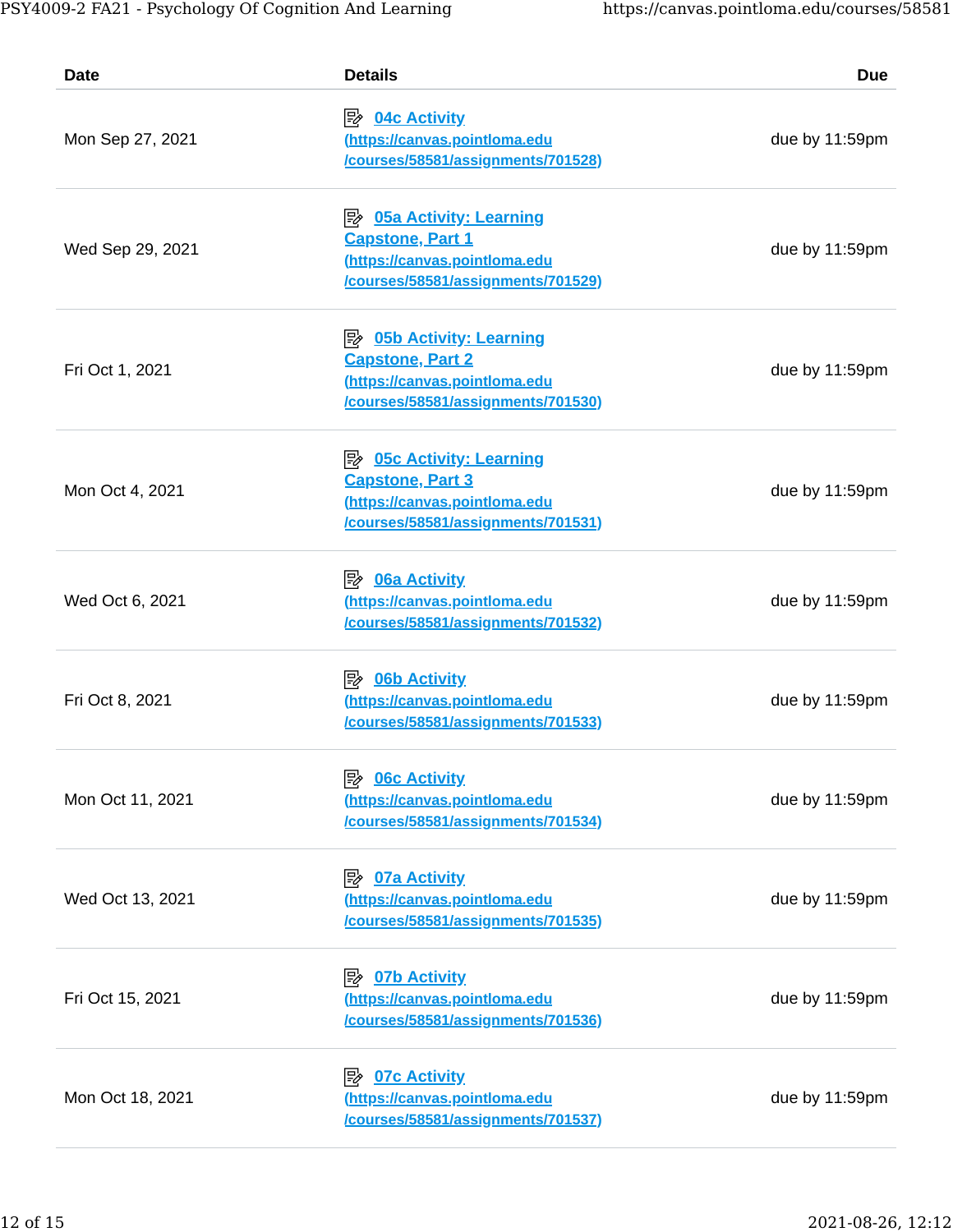| Date             | <b>Details</b>                                                                                                                          | <b>Due</b>     |
|------------------|-----------------------------------------------------------------------------------------------------------------------------------------|----------------|
| Mon Sep 27, 2021 | <i><b>E</b></i> <u>04c Activity</u><br>(https://canvas.pointloma.edu<br>/courses/58581/assignments/701528)                              | due by 11:59pm |
| Wed Sep 29, 2021 | <b>Capstone, Part 1</b><br>(https://canvas.pointloma.edu<br>/courses/58581/assignments/701529)                                          | due by 11:59pm |
| Fri Oct 1, 2021  | <u>≫ 05b Activity: Learning</u><br><b>Capstone, Part 2</b><br>(https://canvas.pointloma.edu<br>/courses/58581/assignments/701530)       | due by 11:59pm |
| Mon Oct 4, 2021  | <u> <i>D</i>5c Activity: Learning</u><br><b>Capstone, Part 3</b><br>(https://canvas.pointloma.edu<br>/courses/58581/assignments/701531) | due by 11:59pm |
| Wed Oct 6, 2021  | 眇<br><b>06a Activity</b><br>(https://canvas.pointloma.edu<br>/courses/58581/assignments/701532)                                         | due by 11:59pm |
| Fri Oct 8, 2021  | $\mathbb{R}$ 06b Activity<br>(https://canvas.pointloma.edu<br>/courses/58581/assignments/701533)                                        | due by 11:59pm |
| Mon Oct 11, 2021 | <b>06c Activity</b><br>(https://canvas.pointloma.edu<br>/courses/58581/assignments/701534)                                              | due by 11:59pm |
| Wed Oct 13, 2021 | <b>D7a Activity</b><br>(https://canvas.pointloma.edu<br>/courses/58581/assignments/701535)                                              | due by 11:59pm |
| Fri Oct 15, 2021 | <b><i><u>② 07b Activity</u></i></b><br>(https://canvas.pointloma.edu<br>/courses/58581/assignments/701536)                              | due by 11:59pm |
| Mon Oct 18, 2021 | <b>07c Activity</b><br>⊯≽<br>(https://canvas.pointloma.edu<br>/courses/58581/assignments/701537)                                        | due by 11:59pm |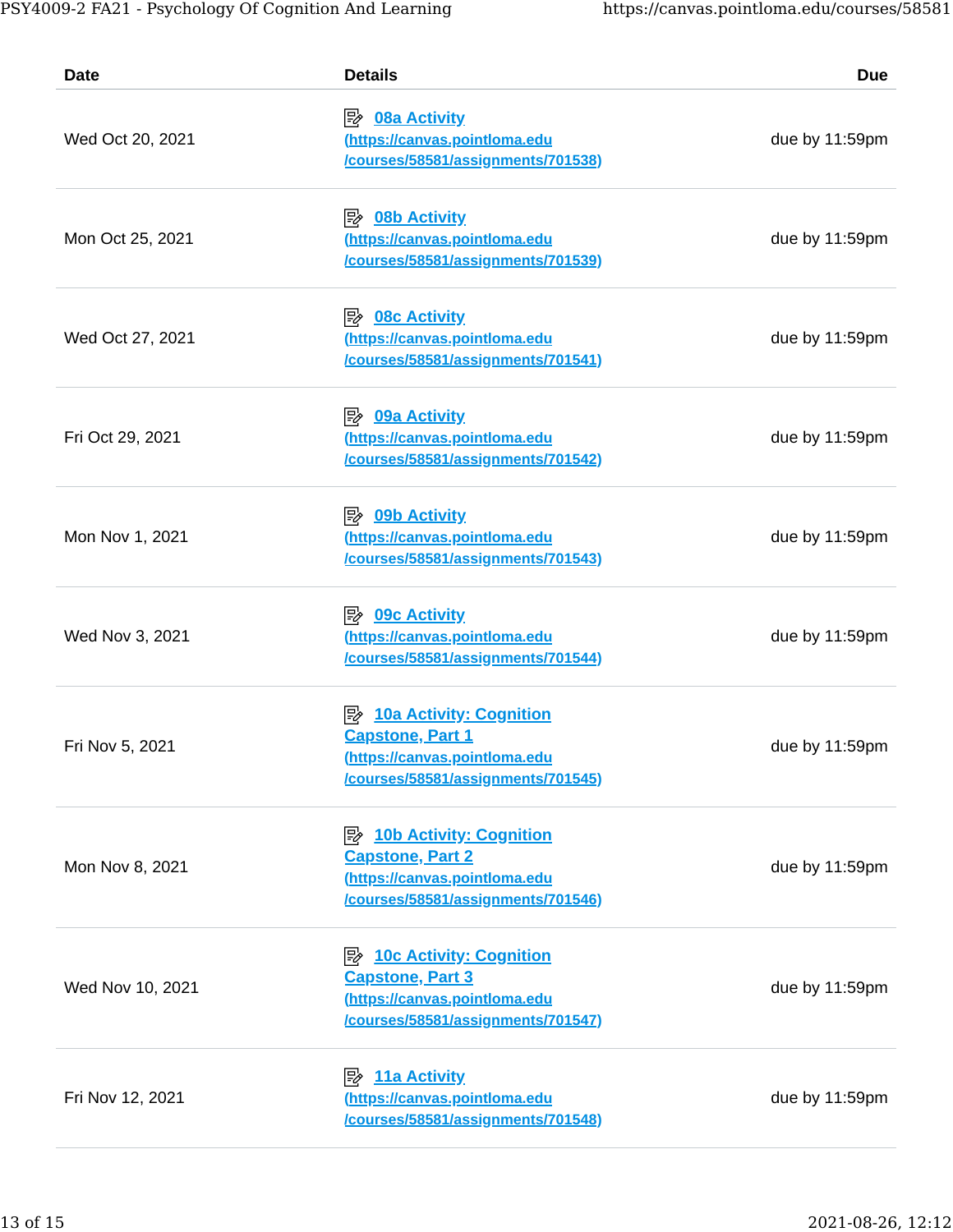| Date             | <b>Details</b>                                                                                                                          | <b>Due</b>     |  |
|------------------|-----------------------------------------------------------------------------------------------------------------------------------------|----------------|--|
| Wed Oct 20, 2021 | <b><i>E</i></b> 08a Activity<br>(https://canvas.pointloma.edu<br>/courses/58581/assignments/701538)                                     | due by 11:59pm |  |
| Mon Oct 25, 2021 | <i><b>E</b></i> 08b Activity<br>(https://canvas.pointloma.edu<br>/courses/58581/assignments/701539)                                     | due by 11:59pm |  |
| Wed Oct 27, 2021 | 吟<br><b>08c Activity</b><br>(https://canvas.pointloma.edu<br>/courses/58581/assignments/701541)                                         | due by 11:59pm |  |
| Fri Oct 29, 2021 | <i><b>E</b></i> 09a Activity<br>(https://canvas.pointloma.edu<br>/courses/58581/assignments/701542)                                     | due by 11:59pm |  |
| Mon Nov 1, 2021  | <i><b>B</b></i> 09b Activity<br>(https://canvas.pointloma.edu<br>/courses/58581/assignments/701543)                                     | due by 11:59pm |  |
| Wed Nov 3, 2021  | <b>09c Activity</b><br>吟<br>(https://canvas.pointloma.edu<br>/courses/58581/assignments/701544)                                         | due by 11:59pm |  |
| Fri Nov 5, 2021  | 眕<br><b>10a Activity: Cognition</b><br><b>Capstone, Part 1</b><br>(https://canvas.pointloma.edu<br>/courses/58581/assignments/701545)   | due by 11:59pm |  |
| Mon Nov 8, 2021  | <b>10b Activity: Cognition</b><br>吟<br><b>Capstone, Part 2</b><br>(https://canvas.pointloma.edu<br>/courses/58581/assignments/701546)   | due by 11:59pm |  |
| Wed Nov 10, 2021 | <u> <i>D</i>c Activity: Cognition</u><br><b>Capstone, Part 3</b><br>(https://canvas.pointloma.edu<br>/courses/58581/assignments/701547) | due by 11:59pm |  |
| Fri Nov 12, 2021 | 歐<br>11a Activity<br>(https://canvas.pointloma.edu<br>/courses/58581/assignments/701548)                                                | due by 11:59pm |  |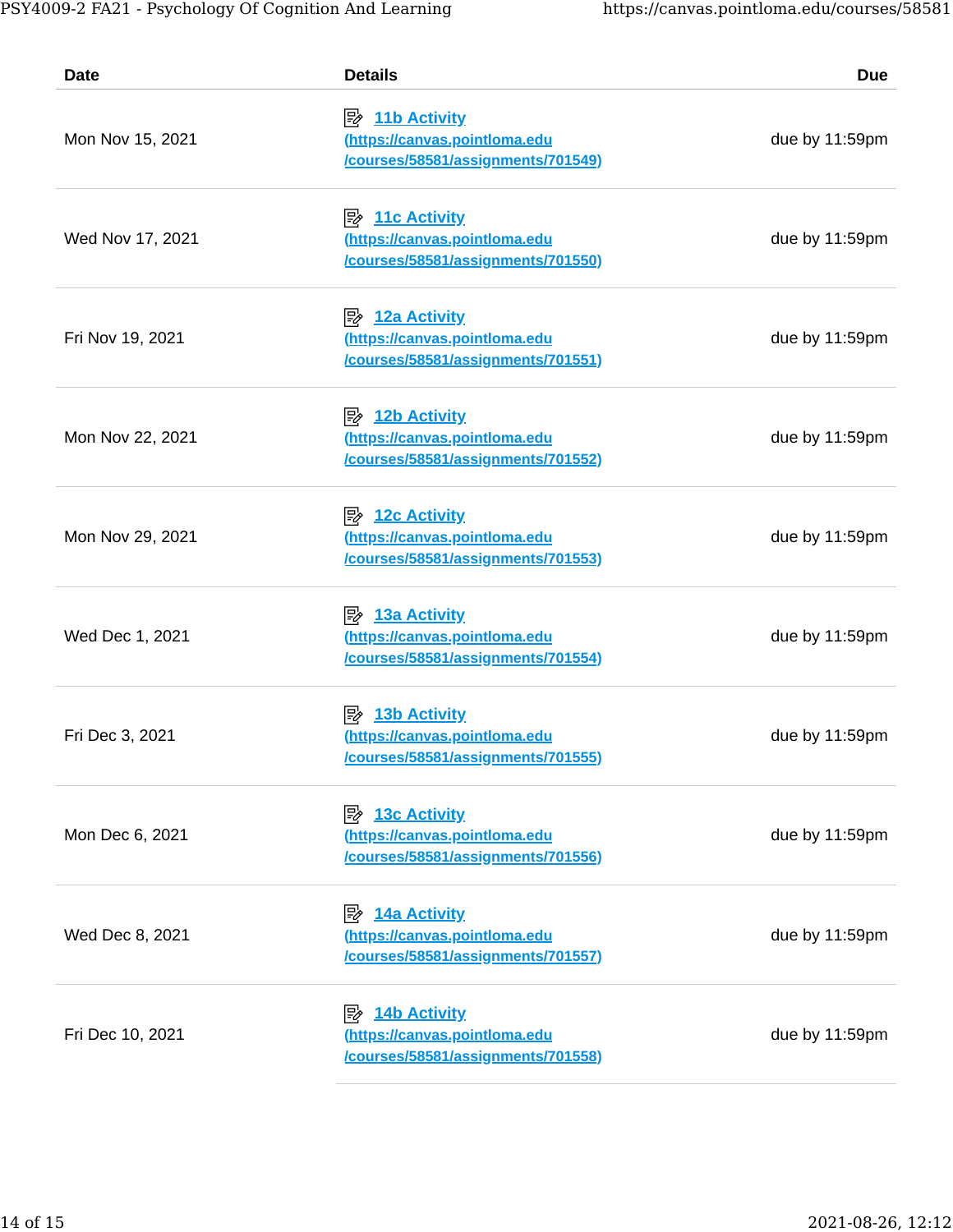| Date             | <b>Details</b>                                                                                    | <b>Due</b>     |
|------------------|---------------------------------------------------------------------------------------------------|----------------|
| Mon Nov 15, 2021 | $\Rightarrow$ 11b Activity<br>(https://canvas.pointloma.edu<br>/courses/58581/assignments/701549) | due by 11:59pm |
| Wed Nov 17, 2021 | $\Rightarrow$ 11c Activity<br>(https://canvas.pointloma.edu<br>/courses/58581/assignments/701550) | due by 11:59pm |
| Fri Nov 19, 2021 | $\mathbb{R}$ 12a Activity<br>(https://canvas.pointloma.edu<br>/courses/58581/assignments/701551)  | due by 11:59pm |
| Mon Nov 22, 2021 | $\mathbb{R}$ 12b Activity<br>(https://canvas.pointloma.edu<br>/courses/58581/assignments/701552)  | due by 11:59pm |
| Mon Nov 29, 2021 | $\mathbb{R}$ 12c Activity<br>(https://canvas.pointloma.edu<br>/courses/58581/assignments/701553)  | due by 11:59pm |
| Wed Dec 1, 2021  | $\mathbb{R}$ 13a Activity<br>(https://canvas.pointloma.edu<br>/courses/58581/assignments/701554)  | due by 11:59pm |
| Fri Dec 3, 2021  | <b>13b Activity</b><br>⊯<br>(https://canvas.pointloma.edu<br>/courses/58581/assignments/701555)   | due by 11:59pm |
| Mon Dec 6, 2021  | <b>13c Activity</b><br>吟<br>(https://canvas.pointloma.edu<br>/courses/58581/assignments/701556)   | due by 11:59pm |
| Wed Dec 8, 2021  | $\Rightarrow$ 14a Activity<br>(https://canvas.pointloma.edu<br>/courses/58581/assignments/701557) | due by 11:59pm |
| Fri Dec 10, 2021 | $\mathbb{R}$ 14b Activity<br>(https://canvas.pointloma.edu<br>/courses/58581/assignments/701558)  | due by 11:59pm |